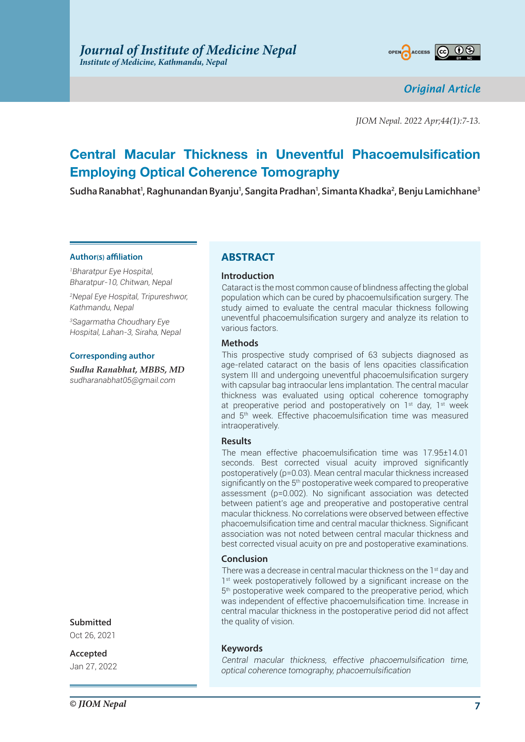

*Original Article*

*JIOM Nepal. 2022 Apr;44(1):7-13.*

# **Central Macular Thickness in Uneventful Phacoemulsification Employing Optical Coherence Tomography**

**Sudha Ranabhat1 , Raghunandan Byanju1 , Sangita Pradhan1 , Simanta Khadka2 , Benju Lamichhane3**

#### **Author(s) affiliation**

*1 Bharatpur Eye Hospital, Bharatpur-10, Chitwan, Nepal*

*2 Nepal Eye Hospital, Tripureshwor, Kathmandu, Nepal*

*3 Sagarmatha Choudhary Eye Hospital, Lahan-3, Siraha, Nepal*

#### **Corresponding author**

*Sudha Ranabhat, MBBS, MD sudharanabhat05@gmail.com*

# **ABSTRACT**

#### **Introduction**

Cataract is the most common cause of blindness affecting the global population which can be cured by phacoemulsification surgery. The study aimed to evaluate the central macular thickness following uneventful phacoemulsification surgery and analyze its relation to various factors.

#### **Methods**

This prospective study comprised of 63 subjects diagnosed as age-related cataract on the basis of lens opacities classification system III and undergoing uneventful phacoemulsification surgery with capsular bag intraocular lens implantation. The central macular thickness was evaluated using optical coherence tomography at preoperative period and postoperatively on 1<sup>st</sup> day, 1<sup>st</sup> week and 5th week. Effective phacoemulsification time was measured intraoperatively.

# **Results**

The mean effective phacoemulsification time was 17.95±14.01 seconds. Best corrected visual acuity improved significantly postoperatively (p=0.03). Mean central macular thickness increased significantly on the 5<sup>th</sup> postoperative week compared to preoperative assessment (p=0.002). No significant association was detected between patient's age and preoperative and postoperative central macular thickness. No correlations were observed between effective phacoemulsification time and central macular thickness. Significant association was not noted between central macular thickness and best corrected visual acuity on pre and postoperative examinations.

# **Conclusion**

There was a decrease in central macular thickness on the 1<sup>st</sup> day and 1<sup>st</sup> week postoperatively followed by a significant increase on the 5th postoperative week compared to the preoperative period, which was independent of effective phacoemulsification time. Increase in central macular thickness in the postoperative period did not affect the quality of vision.

# **Keywords**

*Central macular thickness, effective phacoemulsification time, optical coherence tomography, phacoemulsification*

# **Submitted**

Oct 26, 2021

**Accepted** Jan 27, 2022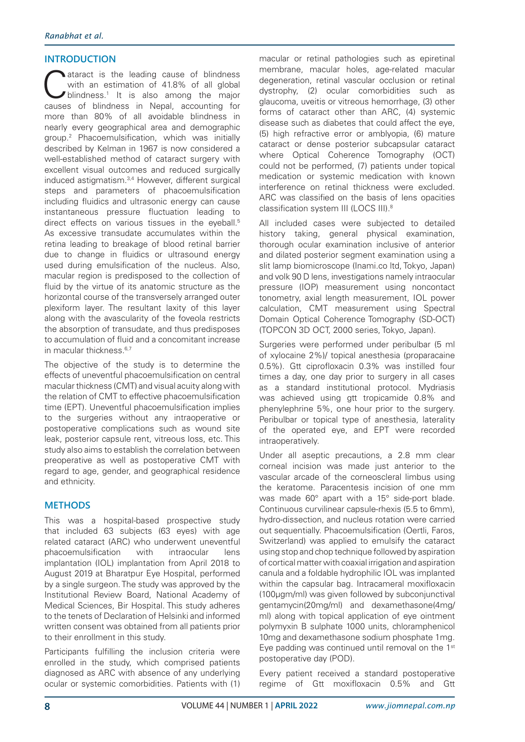# **INTRODUCTION**

Cataract is the leading cause of blindness<br>
with an estimation of 41.8% of all global<br>
blindness.<sup>1</sup> It is also among the major<br>
surges of blindness in Napal, assounting for with an estimation of 41.8% of all global causes of blindness in Nepal, accounting for more than 80% of all avoidable blindness in nearly every geographical area and demographic group.2 Phacoemulsification, which was initially described by Kelman in 1967 is now considered a well-established method of cataract surgery with excellent visual outcomes and reduced surgically induced astigmatism.3,4 However, different surgical steps and parameters of phacoemulsification including fluidics and ultrasonic energy can cause instantaneous pressure fluctuation leading to direct effects on various tissues in the eyeball.<sup>5</sup> As excessive transudate accumulates within the retina leading to breakage of blood retinal barrier due to change in fluidics or ultrasound energy used during emulsification of the nucleus. Also, macular region is predisposed to the collection of fluid by the virtue of its anatomic structure as the horizontal course of the transversely arranged outer plexiform layer. The resultant laxity of this layer along with the avascularity of the foveola restricts the absorption of transudate, and thus predisposes to accumulation of fluid and a concomitant increase in macular thickness.<sup>6,7</sup>

The objective of the study is to determine the effects of uneventful phacoemulsification on central macular thickness (CMT) and visual acuity along with the relation of CMT to effective phacoemulsification time (EPT). Uneventful phacoemulsification implies to the surgeries without any intraoperative or postoperative complications such as wound site leak, posterior capsule rent, vitreous loss, etc. This study also aims to establish the correlation between preoperative as well as postoperative CMT with regard to age, gender, and geographical residence and ethnicity.

# **METHODS**

This was a hospital-based prospective study that included 63 subjects (63 eyes) with age related cataract (ARC) who underwent uneventful phacoemulsification with intraocular lens implantation (IOL) implantation from April 2018 to August 2019 at Bharatpur Eye Hospital, performed by a single surgeon. The study was approved by the Institutional Review Board, National Academy of Medical Sciences, Bir Hospital. This study adheres to the tenets of Declaration of Helsinki and informed written consent was obtained from all patients prior to their enrollment in this study.

Participants fulfilling the inclusion criteria were enrolled in the study, which comprised patients diagnosed as ARC with absence of any underlying ocular or systemic comorbidities. Patients with (1) macular or retinal pathologies such as epiretinal membrane, macular holes, age-related macular degeneration, retinal vascular occlusion or retinal dystrophy, (2) ocular comorbidities such as glaucoma, uveitis or vitreous hemorrhage, (3) other forms of cataract other than ARC, (4) systemic disease such as diabetes that could affect the eye, (5) high refractive error or amblyopia, (6) mature cataract or dense posterior subcapsular cataract where Optical Coherence Tomography (OCT) could not be performed, (7) patients under topical medication or systemic medication with known interference on retinal thickness were excluded. ARC was classified on the basis of lens opacities classification system III (LOCS III).<sup>8</sup>

All included cases were subjected to detailed history taking, general physical examination, thorough ocular examination inclusive of anterior and dilated posterior segment examination using a slit lamp biomicroscope (Inami.co ltd, Tokyo, Japan) and volk 90 D lens, investigations namely intraocular pressure (IOP) measurement using noncontact tonometry, axial length measurement, IOL power calculation, CMT measurement using Spectral Domain Optical Coherence Tomography (SD-OCT) (TOPCON 3D OCT, 2000 series, Tokyo, Japan).

Surgeries were performed under peribulbar (5 ml of xylocaine 2%)/ topical anesthesia (proparacaine 0.5%). Gtt ciprofloxacin 0.3% was instilled four times a day, one day prior to surgery in all cases as a standard institutional protocol. Mydriasis was achieved using gtt tropicamide 0.8% and phenylephrine 5%, one hour prior to the surgery. Peribulbar or topical type of anesthesia, laterality of the operated eye, and EPT were recorded intraoperatively.

Under all aseptic precautions, a 2.8 mm clear corneal incision was made just anterior to the vascular arcade of the corneoscleral limbus using the keratome. Paracentesis incision of one mm was made 60° apart with a 15° side-port blade. Continuous curvilinear capsule-rhexis (5.5 to 6mm), hydro-dissection, and nucleus rotation were carried out sequentially. Phacoemulsification (Oertli, Faros, Switzerland) was applied to emulsify the cataract using stop and chop technique followed by aspiration of cortical matter with coaxial irrigation and aspiration canula and a foldable hydrophilic IOL was implanted within the capsular bag. Intracameral moxifloxacin (100µgm/ml) was given followed by subconjunctival gentamycin(20mg/ml) and dexamethasone(4mg/ ml) along with topical application of eye ointment polymyxin B sulphate 1000 units, chloramphenicol 10mg and dexamethasone sodium phosphate 1mg. Eye padding was continued until removal on the 1st postoperative day (POD).

Every patient received a standard postoperative regime of Gtt moxifloxacin 0.5% and Gtt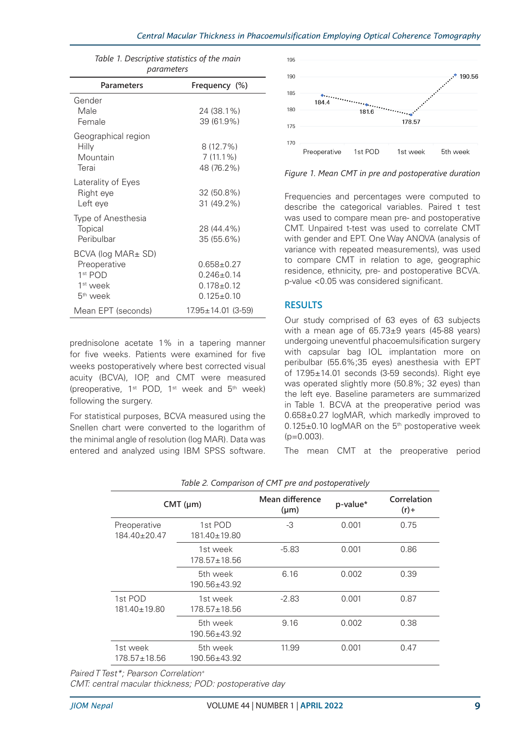| parameters                                                                                                       |                                                                        |  |
|------------------------------------------------------------------------------------------------------------------|------------------------------------------------------------------------|--|
| Parameters                                                                                                       | Frequency (%)                                                          |  |
| Gender<br>Male<br>Female                                                                                         | 24 (38.1%)<br>39 (61.9%)                                               |  |
| Geographical region<br>Hilly<br>Mountain<br>Terai                                                                | $8(12.7\%)$<br>$7(11.1\%)$<br>48 (76.2%)                               |  |
| Laterality of Eyes<br>Right eye<br>Left eye                                                                      | 32 (50.8%)<br>31 (49.2%)                                               |  |
| Type of Anesthesia<br><b>Topical</b><br>Peribulbar                                                               | 28 (44.4%)<br>35 (55.6%)                                               |  |
| $BCVA$ (log $MAR\pm SD$ )<br>Preoperative<br>1 <sup>st</sup> POD<br>1 <sup>st</sup> week<br>5 <sup>th</sup> week | $0.658 \pm 0.27$<br>$0.246 + 0.14$<br>$0.178 + 0.12$<br>$0.125 + 0.10$ |  |
| Mean EPT (seconds)                                                                                               | $17.95 \pm 14.01$ (3-59)                                               |  |

*Table 1. Descriptive statistics of the main* 

prednisolone acetate 1% in a tapering manner for five weeks. Patients were examined for five weeks postoperatively where best corrected visual acuity (BCVA), IOP, and CMT were measured (preoperative, 1<sup>st</sup> POD, 1<sup>st</sup> week and 5<sup>th</sup> week) following the surgery.

For statistical purposes, BCVA measured using the Snellen chart were converted to the logarithm of the minimal angle of resolution (log MAR). Data was entered and analyzed using IBM SPSS software.



*Figure 1. Mean CMT in pre and postoperative duration*

Frequencies and percentages were computed to describe the categorical variables. Paired t test was used to compare mean pre- and postoperative CMT. Unpaired t-test was used to correlate CMT with gender and EPT. One Way ANOVA (analysis of variance with repeated measurements), was used to compare CMT in relation to age, geographic residence, ethnicity, pre- and postoperative BCVA. p-value <0.05 was considered significant.

# **RESULTS**

Our study comprised of 63 eyes of 63 subjects with a mean age of 65.73±9 years (45-88 years) undergoing uneventful phacoemulsification surgery with capsular bag IOL implantation more on peribulbar (55.6%;35 eyes) anesthesia with EPT of 17.95±14.01 seconds (3-59 seconds). Right eye was operated slightly more (50.8%; 32 eyes) than the left eye. Baseline parameters are summarized in Table 1. BCVA at the preoperative period was 0.658±0.27 logMAR, which markedly improved to 0.125±0.10 logMAR on the 5th postoperative week  $(p=0.003)$ .

The mean CMT at the preoperative period

|                                    | $CMT$ ( $\mu$ m)               | Mean difference<br>$(\mu m)$ | p-value* | Correlation<br>$(r) +$ |
|------------------------------------|--------------------------------|------------------------------|----------|------------------------|
| Preoperative<br>$184.40 \pm 20.47$ | 1st POD<br>$181.40 \pm 19.80$  | -3                           | 0.001    | 0.75                   |
|                                    | 1st week<br>$178.57 \pm 18.56$ | $-5.83$                      | 0.001    | 0.86                   |
|                                    | 5th week<br>$190.56 \pm 43.92$ | 6.16                         | 0.002    | 0.39                   |
| 1st POD<br>$181.40 \pm 19.80$      | 1st week<br>$178.57 \pm 18.56$ | $-2.83$                      | 0.001    | 0.87                   |
|                                    | 5th week<br>190.56±43.92       | 9.16                         | 0.002    | 0.38                   |
| 1st week<br>178.57±18.56           | 5th week<br>$190.56 \pm 43.92$ | 11.99                        | 0.001    | 0.47                   |

*Table 2. Comparison of CMT pre and postoperatively*

*Paired T Test\*; Pearson Correlation+*

*CMT: central macular thickness; POD: postoperative day*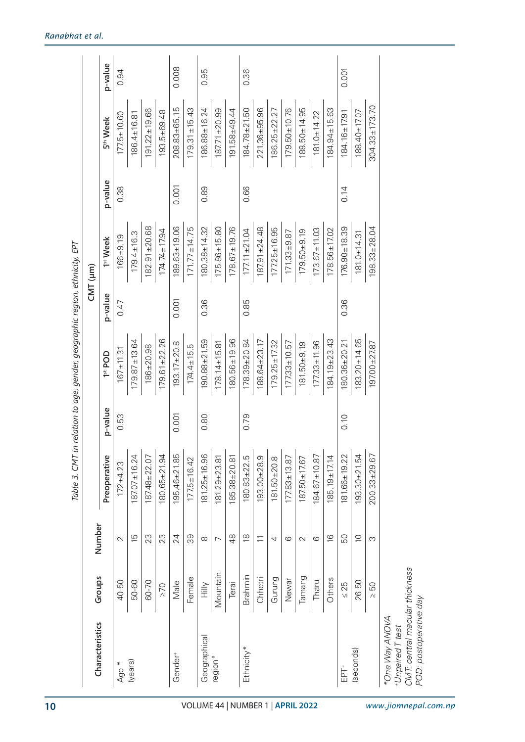| Characteristics     | Groups    | Number                                         |                    |         |                    |         | CMT (µm)             |         |                      |         |
|---------------------|-----------|------------------------------------------------|--------------------|---------|--------------------|---------|----------------------|---------|----------------------|---------|
|                     |           |                                                | Preoperative       | p-value | 1st POD            | p-value | 1 <sup>st</sup> Week | p-value | 5 <sup>th</sup> Week | p-value |
| Age *               | 40-50     | $\sim$                                         | $172 + 4.23$       | 0.53    | $167 + 11.31$      | 0.47    | $166 + 9.19$         | 0.38    | $177.5 + 10.60$      | 0.94    |
| (years)             | 50-60     | $\overline{5}$                                 | $187.07 \pm 16.24$ |         | $179.87 \pm 13.64$ |         | $179.4 \pm 16.3$     |         | $186.4 \pm 16.81$    |         |
|                     | 60-70     | 23                                             | 187.48±22.07       |         | $186 + 20.98$      |         | $182.91 \pm 20.68$   |         | $191.22 \pm 19.66$   |         |
|                     | $\geq 70$ | 23                                             | 180.65±21.94       |         | $179.61 \pm 22.26$ |         | $174.74 \pm 17.94$   |         | 193.5±69.48          |         |
| Gender <sup>+</sup> | Male      | 24                                             | 195.46±21.85       | 0.001   | $193.17 \pm 20.8$  | 0.001   | 189.63±19.06         | 0.001   | $208.83 \pm 65.15$   | 0.008   |
|                     | Female    | 39                                             | $177.5 + 16.42$    |         | $174.4 \pm 15.5$   |         | $171.77 \pm 14.75$   |         | $179.31 \pm 15.43$   |         |
| Geographical        | Milly     | $\infty$                                       | $181.25 \pm 16.96$ | 0.80    | $190.88 \pm 21.59$ | 0.36    | 180.38±14.32         | 0.89    | 186.88±16.24         | 0.95    |
| region*             | Mountain  | ↖                                              | 181.29±23.81       |         | $178.14 \pm 15.81$ |         | $175.86 \pm 15.80$   |         | $187.71 + 20.99$     |         |
|                     | Terai     | 48                                             | 185.38±20.81       |         | 180.56±19.96       |         | $178.67 \pm 19.76$   |         | 191.58±49.44         |         |
| Ethnicity*          | Brahmin   | $\frac{\infty}{\infty}$                        | 180.83±22.5        | 0.79    | $178.39 + 20.84$   | 0.85    | $177.11 + 21.04$     | 0.66    | 184.78±21.50         | 0.36    |
|                     | Chhetri   | $\overline{\overline{\phantom{0}}\phantom{0}}$ | $193.00 + 28.9$    |         | $188.64 \pm 23.17$ |         | $187.91 \pm 24.48$   |         | 221.36±95.96         |         |
|                     | Gurung    | 4                                              | $181.50 \pm 20.8$  |         | $179.25 \pm 17.32$ |         | $177.25 \pm 16.95$   |         | $186.25 \pm 22.27$   |         |
|                     | Newar     | ပ                                              | $177.83 \pm 13.87$ |         | $177.33 \pm 10.57$ |         | $171.33 + 9.87$      |         | $179.50 \pm 10.76$   |         |
|                     | Tamang    | $\mathcal{L}$                                  | 187.50±17.67       |         | $181.50 + 9.19$    |         | $179.50 + 9.19$      |         | 188.50±14.95         |         |
|                     | Tharu     | ဖ                                              | $184.67 \pm 10.87$ |         | $177.33 \pm 11.96$ |         | $173.67 \pm 11.03$   |         | $181.0 \pm 14.22$    |         |
|                     | Others    | $\frac{6}{1}$                                  | $185.19 \pm 17.14$ |         | $184.19 + 23.43$   |         | $178.56 \pm 17.02$   |         | $184.94 \pm 15.63$   |         |
| EPT+                | $\leq 25$ | 50                                             | 181.66±19.22       | 0.10    | 180.36±20.21       | 0.36    | $176.90 \pm 18.39$   | 0.14    | $184.16 \pm 17.91$   | 0.001   |
| (seconds)           | 26-50     | $\supseteq$                                    | $193.30 + 21.54$   |         | $183.20 \pm 14.65$ |         | $181.0 \pm 14.31$    |         | $188.40 \pm 17.07$   |         |
|                     | > 50      | S                                              | $200.33 \pm 29.67$ |         | 197.00±27.87       |         | $198.33 \pm 28.04$   |         | $304.33 \pm 173.70$  |         |
| *One Way ANOVA      |           |                                                |                    |         |                    |         |                      |         |                      |         |

*+Unpaired T test*

one vary AnvovA<br>+UnpairedT test<br>CMT: central macular thickness<br>POD: postoperative day *CMT: central macular thickness*

*POD: postoperative day*

*Table 3. CMT in relation to age, gender, geographic region, ethnicity, EPT* 

Table 3. CMT in relation to age, gender, geographic region, ethnicity, EPT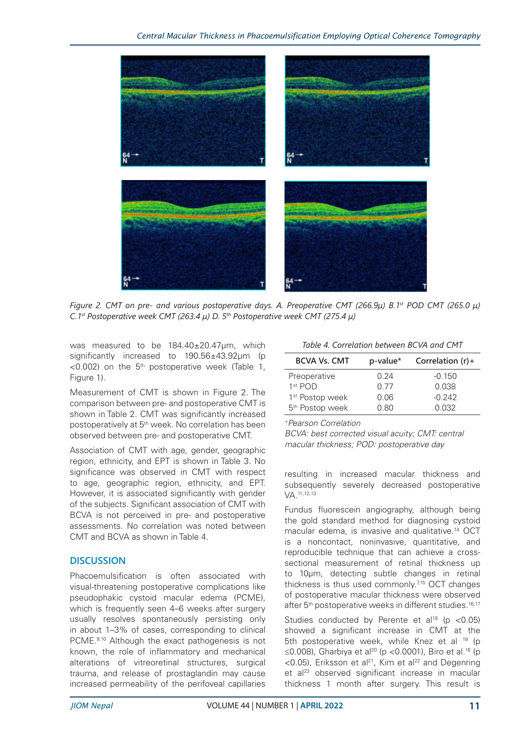

*Figure 2. CMT on pre- and various postoperative days. A. Preoperative CMT (266.9µ) B.1st POD CMT (265.0 µ) C.1st Postoperative week CMT (263.4 µ) D. 5th Postoperative week CMT (275.4 µ)*

was measured to be 184.40±20.47µm, which significantly increased to 190.56±43.92µm (p  $<$ 0.002) on the 5<sup>th</sup> postoperative week (Table 1, Figure 1).

Measurement of CMT is shown in Figure 2. The comparison between pre- and postoperative CMT is shown in Table 2. CMT was significantly increased postoperatively at 5<sup>th</sup> week. No correlation has been observed between pre- and postoperative CMT.

Association of CMT with age, gender, geographic region, ethnicity, and EPT is shown in Table 3. No significance was observed in CMT with respect to age, geographic region, ethnicity, and EPT. However, it is associated significantly with gender of the subjects. Significant association of CMT with BCVA is not perceived in pre- and postoperative assessments. No correlation was noted between CMT and BCVA as shown in Table 4.

# **DISCUSSION**

Phacoemulsification is often associated with visual-threatening postoperative complications like pseudophakic cystoid macular edema (PCME), which is frequently seen 4–6 weeks after surgery usually resolves spontaneously persisting only in about 1–3% of cases, corresponding to clinical PCME.<sup>9,10</sup> Although the exact pathogenesis is not known, the role of inflammatory and mechanical alterations of vitreoretinal structures, surgical trauma, and release of prostaglandin may cause increased permeability of the perifoveal capillaries

*Table 4. Correlation between BCVA and CMT*

| <b>BCVA Vs. CMT</b>         | p-value* | Correlation $(r)$ + |
|-----------------------------|----------|---------------------|
| Preoperative                | 0.24     | $-0.150$            |
| 1 <sup>st</sup> POD         | 0.77     | 0.038               |
| 1 <sup>st</sup> Postop week | 0.06     | $-0.242$            |
| 5 <sup>th</sup> Postop week | 0.80     | 0.032               |

*+Pearson Correlation*

*BCVA: best corrected visual acuity; CMT: central macular thickness; POD: postoperative day*

resulting in increased macular thickness and subsequently severely decreased postoperative VA.11,12,13

Fundus fluorescein angiography, although being the gold standard method for diagnosing cystoid macular edema, is invasive and qualitative.14 OCT is a noncontact, noninvasive, quantitative, and reproducible technique that can achieve a crosssectional measurement of retinal thickness up to 10μm, detecting subtle changes in retinal thickness is thus used commonly. $715$  OCT changes of postoperative macular thickness were observed after 5<sup>th</sup> postoperative weeks in different studies.<sup>16,17</sup>

Studies conducted by Perente et al<sup>18</sup> (p <0.05) showed a significant increase in CMT at the 5th postoperative week, while Knez et al <sup>19</sup> (p ≤0.008), Gharbiya et al<sup>20</sup> (p <0.0001), Biro et al.<sup>16</sup> (p  $<$ 0.05), Eriksson et al<sup>21</sup>, Kim et al<sup>22</sup> and Degenring et al<sup>23</sup> observed significant increase in macular thickness 1 month after surgery. This result is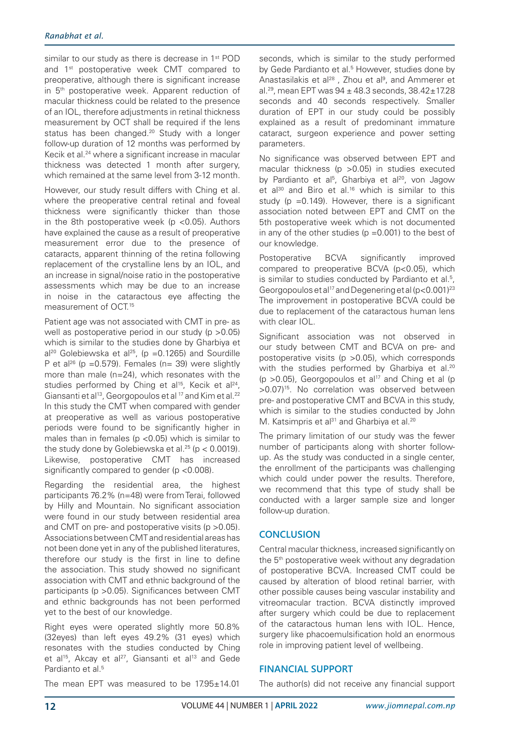similar to our study as there is decrease in 1<sup>st</sup> POD and 1<sup>st</sup> postoperative week CMT compared to preoperative, although there is significant increase in 5<sup>th</sup> postoperative week. Apparent reduction of macular thickness could be related to the presence of an IOL, therefore adjustments in retinal thickness measurement by OCT shall be required if the lens status has been changed.<sup>20</sup> Study with a longer follow-up duration of 12 months was performed by Kecik et al.24 where a significant increase in macular thickness was detected 1 month after surgery, which remained at the same level from 3-12 month.

However, our study result differs with Ching et al. where the preoperative central retinal and foveal thickness were significantly thicker than those in the 8th postoperative week ( $p$  <0.05). Authors have explained the cause as a result of preoperative measurement error due to the presence of cataracts, apparent thinning of the retina following replacement of the crystalline lens by an IOL, and an increase in signal/noise ratio in the postoperative assessments which may be due to an increase in noise in the cataractous eye affecting the measurement of OCT.<sup>15</sup>

Patient age was not associated with CMT in pre- as well as postoperative period in our study (p > 0.05) which is similar to the studies done by Gharbiya et  $al^{20}$  Golebiewska et al<sup>25</sup>, (p = 0.1265) and Sourdille P et al<sup>26</sup> (p =  $0.579$ ). Females (n = 39) were slightly more than male (n=24), which resonates with the studies performed by Ching et al<sup>15</sup>, Kecik et al<sup>24</sup>, Giansanti et al<sup>13</sup>, Georgopoulos et al <sup>17</sup> and Kim et al.<sup>22</sup> In this study the CMT when compared with gender at preoperative as well as various postoperative periods were found to be significantly higher in males than in females ( $p$  <0.05) which is similar to the study done by Golebiewska et al.<sup>25</sup> ( $p < 0.0019$ ). Likewise, postoperative CMT has increased significantly compared to gender (p <0.008).

Regarding the residential area, the highest participants 76.2% (n=48) were from Terai, followed by Hilly and Mountain. No significant association were found in our study between residential area and CMT on pre- and postoperative visits ( $p > 0.05$ ). Associations between CMT and residential areas has not been done yet in any of the published literatures, therefore our study is the first in line to define the association. This study showed no significant association with CMT and ethnic background of the participants (p >0.05). Significances between CMT and ethnic backgrounds has not been performed yet to the best of our knowledge.

Right eyes were operated slightly more 50.8% (32eyes) than left eyes 49.2% (31 eyes) which resonates with the studies conducted by Ching et al<sup>15</sup>, Akcay et al<sup>27</sup>, Giansanti et al<sup>13</sup> and Gede Pardianto et al.<sup>5</sup>

seconds, which is similar to the study performed by Gede Pardianto et al.<sup>5</sup> However, studies done by Anastasilakis et al<sup>28</sup>, Zhou et al<sup>9</sup>, and Ammerer et al.<sup>29</sup>, mean EPT was  $94 \pm 48.3$  seconds,  $38.42 \pm 17.28$ seconds and 40 seconds respectively. Smaller duration of EPT in our study could be possibly explained as a result of predominant immature cataract, surgeon experience and power setting parameters.

No significance was observed between EPT and macular thickness (p >0.05) in studies executed by Pardianto et al<sup>5</sup>, Gharbiya et al<sup>20</sup>, von Jagow et al<sup>30</sup> and Biro et al.<sup>16</sup> which is similar to this study ( $p = 0.149$ ). However, there is a significant association noted between EPT and CMT on the 5th postoperative week which is not documented in any of the other studies ( $p = 0.001$ ) to the best of our knowledge.

Postoperative BCVA significantly improved compared to preoperative BCVA (p<0.05), which is similar to studies conducted by Pardianto et al.<sup>5</sup>, Georgopoulos et al<sup>17</sup> and Degenering et al  $(p<0.001)^{23}$ The improvement in postoperative BCVA could be due to replacement of the cataractous human lens with clear IOL.

Significant association was not observed in our study between CMT and BCVA on pre- and postoperative visits ( $p > 0.05$ ), which corresponds with the studies performed by Gharbiya et al.<sup>20</sup> ( $p > 0.05$ ), Georgopoulos et al<sup>17</sup> and Ching et al ( $p$ >0.07)15. No correlation was observed between pre- and postoperative CMT and BCVA in this study, which is similar to the studies conducted by John M. Katsimpris et al<sup>31</sup> and Gharbiya et al.<sup>20</sup>

The primary limitation of our study was the fewer number of participants along with shorter followup. As the study was conducted in a single center, the enrollment of the participants was challenging which could under power the results. Therefore, we recommend that this type of study shall be conducted with a larger sample size and longer follow-up duration.

# **CONCLUSION**

Central macular thickness, increased significantly on the 5<sup>th</sup> postoperative week without any degradation of postoperative BCVA. Increased CMT could be caused by alteration of blood retinal barrier, with other possible causes being vascular instability and vitreomacular traction. BCVA distinctly improved after surgery which could be due to replacement of the cataractous human lens with IOL. Hence, surgery like phacoemulsification hold an enormous role in improving patient level of wellbeing.

# **FINANCIAL SUPPORT**

The author(s) did not receive any financial support

The mean EPT was measured to be 17.95±14.01